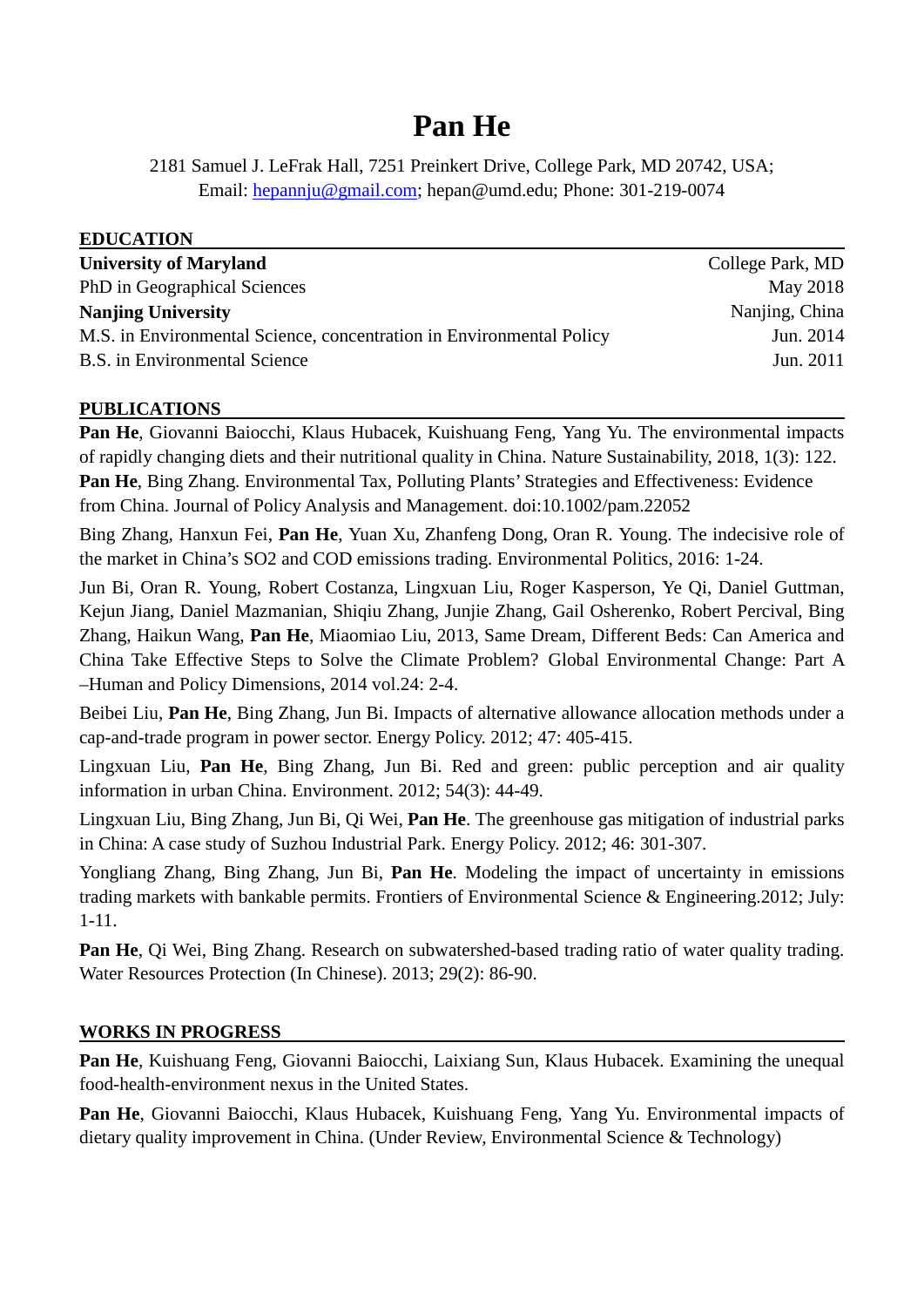# **Pan He**

2181 Samuel J. LeFrak Hall, 7251 Preinkert Drive, College Park, MD 20742, USA; Email: [hepannju@gmail.com;](mailto:hepannju@gmail.com) [hepan@umd.edu;](mailto:hepan@umd.edu) Phone: 301-219-0074

| <b>EDUCATION</b>                                                     |                  |
|----------------------------------------------------------------------|------------------|
| <b>University of Maryland</b>                                        | College Park, MD |
| PhD in Geographical Sciences                                         | May 2018         |
| <b>Nanjing University</b>                                            | Nanjing, China   |
| M.S. in Environmental Science, concentration in Environmental Policy | Jun. 2014        |
| <b>B.S.</b> in Environmental Science                                 | Jun. 2011        |

## **PUBLICATIONS**

**Pan He**, Giovanni Baiocchi, Klaus Hubacek, Kuishuang Feng, Yang Yu. The environmental impacts of rapidly changing diets and their nutritional quality in China. Nature Sustainability, 2018, 1(3): 122. **Pan He**, Bing Zhang. Environmental Tax, Polluting Plants' Strategies and Effectiveness: Evidence from China. Journal of Policy Analysis and Management. doi:10.1002/pam.22052

Bing Zhang, Hanxun Fei, **Pan He**, Yuan Xu, Zhanfeng Dong, Oran R. Young. The indecisive role of the market in China's SO2 and COD emissions trading. Environmental Politics, 2016: 1-24.

Jun Bi, Oran R. Young, Robert Costanza, Lingxuan Liu, Roger Kasperson, Ye Qi, Daniel Guttman, Kejun Jiang, Daniel Mazmanian, Shiqiu Zhang, Junjie Zhang, Gail Osherenko, Robert Percival, Bing Zhang, Haikun Wang, **Pan He**, Miaomiao Liu, 2013, Same Dream, Different Beds: Can America and China Take Effective Steps to Solve the Climate Problem? Global Environmental Change: Part A –Human and Policy Dimensions, 2014 vol.24: 2-4.

Beibei Liu, **Pan He**, Bing Zhang, Jun Bi. Impacts of alternative allowance allocation methods under a cap-and-trade program in power sector. Energy Policy. 2012; 47: 405-415.

Lingxuan Liu, **Pan He**, Bing Zhang, Jun Bi. Red and green: public perception and air quality information in urban China. Environment. 2012; 54(3): 44-49.

Lingxuan Liu, Bing Zhang, Jun Bi, Qi Wei, **Pan He**. The greenhouse gas mitigation of industrial parks in China: A case study of Suzhou Industrial Park. Energy Policy. 2012; 46: 301-307.

Yongliang Zhang, Bing Zhang, Jun Bi, **Pan He**. Modeling the impact of uncertainty in emissions trading markets with bankable permits. Frontiers of Environmental Science & Engineering.2012; July: 1-11.

**Pan He**, Qi Wei, Bing Zhang. Research on subwatershed-based trading ratio of water quality trading. Water Resources Protection (In Chinese). 2013; 29(2): 86-90.

#### **WORKS IN PROGRESS**

**Pan He**, Kuishuang Feng, Giovanni Baiocchi, Laixiang Sun, Klaus Hubacek. Examining the unequal food-health-environment nexus in the United States.

**Pan He**, Giovanni Baiocchi, Klaus Hubacek, Kuishuang Feng, Yang Yu. Environmental impacts of dietary quality improvement in China. (Under Review, Environmental Science & Technology)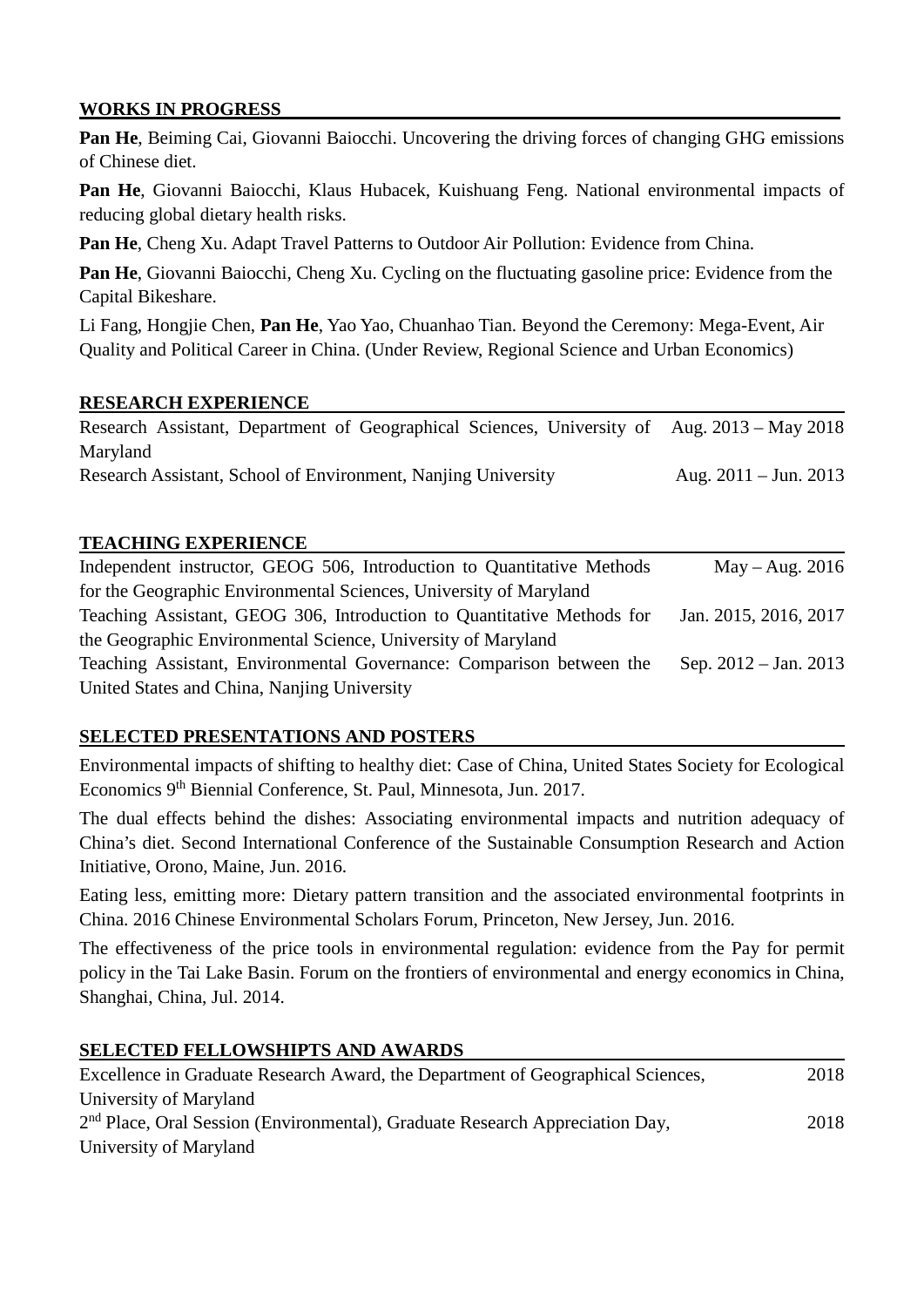### **WORKS IN PROGRESS**

**Pan He**, Beiming Cai, Giovanni Baiocchi. Uncovering the driving forces of changing GHG emissions of Chinese diet.

**Pan He**, Giovanni Baiocchi, Klaus Hubacek, Kuishuang Feng. National environmental impacts of reducing global dietary health risks.

**Pan He**, Cheng Xu. Adapt Travel Patterns to Outdoor Air Pollution: Evidence from China.

**Pan He**, Giovanni Baiocchi, Cheng Xu. Cycling on the fluctuating gasoline price: Evidence from the Capital Bikeshare.

Li Fang, Hongjie Chen, **Pan He**, Yao Yao, Chuanhao Tian. Beyond the Ceremony: Mega-Event, Air Quality and Political Career in China. (Under Review, Regional Science and Urban Economics)

#### **RESEARCH EXPERIENCE**

|                                                               |  |  | Research Assistant, Department of Geographical Sciences, University of Aug. 2013 – May 2018 |  |
|---------------------------------------------------------------|--|--|---------------------------------------------------------------------------------------------|--|
| Maryland                                                      |  |  |                                                                                             |  |
| Research Assistant, School of Environment, Nanjing University |  |  | Aug. $2011 - \text{Jun. } 2013$                                                             |  |

#### **TEACHING EXPERIENCE**

| Independent instructor, GEOG 506, Introduction to Quantitative Methods | $May - Aug. 2016$       |
|------------------------------------------------------------------------|-------------------------|
| for the Geographic Environmental Sciences, University of Maryland      |                         |
| Teaching Assistant, GEOG 306, Introduction to Quantitative Methods for | Jan. 2015, 2016, 2017   |
| the Geographic Environmental Science, University of Maryland           |                         |
| Teaching Assistant, Environmental Governance: Comparison between the   | Sep. $2012 - Jan. 2013$ |
| United States and China, Nanjing University                            |                         |

#### **SELECTED PRESENTATIONS AND POSTERS**

Environmental impacts of shifting to healthy diet: Case of China, [United States Society for Ecological](http://www.ussee.org/)  [Economics](http://www.ussee.org/) 9<sup>th</sup> Biennial Conference, [St. Paul, Minnesota,](http://www.macalester.edu/about/maps/) Jun. 2017.

The dual effects behind the dishes: Associating environmental impacts and nutrition adequacy of China's diet. Second International Conference of the Sustainable Consumption Research and Action Initiative, Orono, Maine, Jun. 2016.

Eating less, emitting more: Dietary pattern transition and the associated environmental footprints in China. 2016 Chinese Environmental Scholars Forum, Princeton, New Jersey, Jun. 2016.

The effectiveness of the price tools in environmental regulation: evidence from the Pay for permit policy in the Tai Lake Basin. Forum on the frontiers of environmental and energy economics in China, Shanghai, China, Jul. 2014.

#### **SELECTED FELLOWSHIPTS AND AWARDS**

| Excellence in Graduate Research Award, the Department of Geographical Sciences,          | 2018 |
|------------------------------------------------------------------------------------------|------|
| University of Maryland                                                                   |      |
| 2 <sup>nd</sup> Place, Oral Session (Environmental), Graduate Research Appreciation Day, | 2018 |
| University of Maryland                                                                   |      |